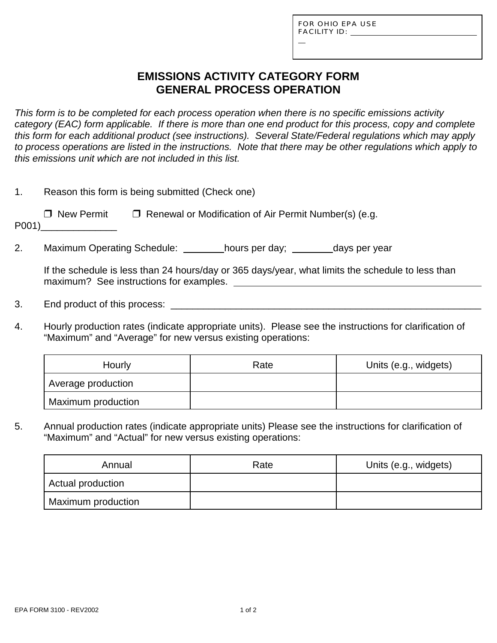L

# **EMISSIONS ACTIVITY CATEGORY FORM GENERAL PROCESS OPERATION**

*This form is to be completed for each process operation when there is no specific emissions activity category (EAC) form applicable. If there is more than one end product for this process, copy and complete this form for each additional product (see instructions). Several State/Federal regulations which may apply to process operations are listed in the instructions. Note that there may be other regulations which apply to this emissions unit which are not included in this list.*

| Reason this form is being submitted (Check one) |                                                              |  |  |  |
|-------------------------------------------------|--------------------------------------------------------------|--|--|--|
| □ New Permit<br>P <sub>001</sub>                | $\Box$ Renewal or Modification of Air Permit Number(s) (e.g. |  |  |  |

2. Maximum Operating Schedule: hours per day; days per year

If the schedule is less than 24 hours/day or 365 days/year, what limits the schedule to less than maximum? See instructions for examples.

- 3. End product of this process: \_\_\_\_\_\_\_\_\_\_\_\_\_\_\_\_\_\_\_\_\_\_\_\_\_\_\_\_\_\_\_\_\_\_\_\_\_\_\_\_\_\_\_\_\_\_\_\_\_\_\_\_\_\_\_\_\_
- 4. Hourly production rates (indicate appropriate units). Please see the instructions for clarification of "Maximum" and "Average" for new versus existing operations:

| Hourly             | Rate | Units (e.g., widgets) |
|--------------------|------|-----------------------|
| Average production |      |                       |
| Maximum production |      |                       |

5. Annual production rates (indicate appropriate units) Please see the instructions for clarification of "Maximum" and "Actual" for new versus existing operations:

| Annual             | Rate | Units (e.g., widgets) |
|--------------------|------|-----------------------|
| Actual production  |      |                       |
| Maximum production |      |                       |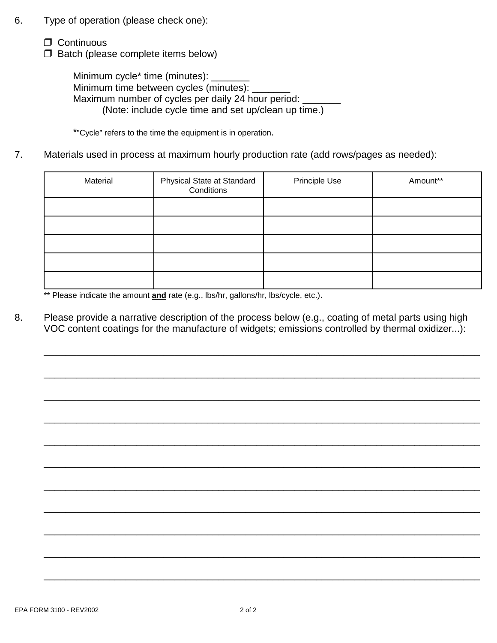- 6. Type of operation (please check one):
	- $\Box$  Continuous
	- $\Box$  Batch (please complete items below)

Minimum cycle<sup>\*</sup> time (minutes): Minimum time between cycles (minutes): Maximum number of cycles per daily 24 hour period: (Note: include cycle time and set up/clean up time.)

\*"Cycle" refers to the time the equipment is in operation.

7. Materials used in process at maximum hourly production rate (add rows/pages as needed):

| Material | Physical State at Standard<br>Conditions | Principle Use | Amount** |
|----------|------------------------------------------|---------------|----------|
|          |                                          |               |          |
|          |                                          |               |          |
|          |                                          |               |          |
|          |                                          |               |          |
|          |                                          |               |          |

\*\* Please indicate the amount **and** rate (e.g., lbs/hr, gallons/hr, lbs/cycle, etc.).

8. Please provide a narrative description of the process below (e.g., coating of metal parts using high VOC content coatings for the manufacture of widgets; emissions controlled by thermal oxidizer...):

\_\_\_\_\_\_\_\_\_\_\_\_\_\_\_\_\_\_\_\_\_\_\_\_\_\_\_\_\_\_\_\_\_\_\_\_\_\_\_\_\_\_\_\_\_\_\_\_\_\_\_\_\_\_\_\_\_\_\_\_\_\_\_\_\_\_\_\_\_\_\_\_\_\_\_\_\_\_\_\_

\_\_\_\_\_\_\_\_\_\_\_\_\_\_\_\_\_\_\_\_\_\_\_\_\_\_\_\_\_\_\_\_\_\_\_\_\_\_\_\_\_\_\_\_\_\_\_\_\_\_\_\_\_\_\_\_\_\_\_\_\_\_\_\_\_\_\_\_\_\_\_\_\_\_\_\_\_\_\_\_

\_\_\_\_\_\_\_\_\_\_\_\_\_\_\_\_\_\_\_\_\_\_\_\_\_\_\_\_\_\_\_\_\_\_\_\_\_\_\_\_\_\_\_\_\_\_\_\_\_\_\_\_\_\_\_\_\_\_\_\_\_\_\_\_\_\_\_\_\_\_\_\_\_\_\_\_\_\_\_\_

\_\_\_\_\_\_\_\_\_\_\_\_\_\_\_\_\_\_\_\_\_\_\_\_\_\_\_\_\_\_\_\_\_\_\_\_\_\_\_\_\_\_\_\_\_\_\_\_\_\_\_\_\_\_\_\_\_\_\_\_\_\_\_\_\_\_\_\_\_\_\_\_\_\_\_\_\_\_\_\_

\_\_\_\_\_\_\_\_\_\_\_\_\_\_\_\_\_\_\_\_\_\_\_\_\_\_\_\_\_\_\_\_\_\_\_\_\_\_\_\_\_\_\_\_\_\_\_\_\_\_\_\_\_\_\_\_\_\_\_\_\_\_\_\_\_\_\_\_\_\_\_\_\_\_\_\_\_\_\_\_

\_\_\_\_\_\_\_\_\_\_\_\_\_\_\_\_\_\_\_\_\_\_\_\_\_\_\_\_\_\_\_\_\_\_\_\_\_\_\_\_\_\_\_\_\_\_\_\_\_\_\_\_\_\_\_\_\_\_\_\_\_\_\_\_\_\_\_\_\_\_\_\_\_\_\_\_\_\_\_\_

\_\_\_\_\_\_\_\_\_\_\_\_\_\_\_\_\_\_\_\_\_\_\_\_\_\_\_\_\_\_\_\_\_\_\_\_\_\_\_\_\_\_\_\_\_\_\_\_\_\_\_\_\_\_\_\_\_\_\_\_\_\_\_\_\_\_\_\_\_\_\_\_\_\_\_\_\_\_\_\_

\_\_\_\_\_\_\_\_\_\_\_\_\_\_\_\_\_\_\_\_\_\_\_\_\_\_\_\_\_\_\_\_\_\_\_\_\_\_\_\_\_\_\_\_\_\_\_\_\_\_\_\_\_\_\_\_\_\_\_\_\_\_\_\_\_\_\_\_\_\_\_\_\_\_\_\_\_\_\_\_

\_\_\_\_\_\_\_\_\_\_\_\_\_\_\_\_\_\_\_\_\_\_\_\_\_\_\_\_\_\_\_\_\_\_\_\_\_\_\_\_\_\_\_\_\_\_\_\_\_\_\_\_\_\_\_\_\_\_\_\_\_\_\_\_\_\_\_\_\_\_\_\_\_\_\_\_\_\_\_\_

\_\_\_\_\_\_\_\_\_\_\_\_\_\_\_\_\_\_\_\_\_\_\_\_\_\_\_\_\_\_\_\_\_\_\_\_\_\_\_\_\_\_\_\_\_\_\_\_\_\_\_\_\_\_\_\_\_\_\_\_\_\_\_\_\_\_\_\_\_\_\_\_\_\_\_\_\_\_\_\_

\_\_\_\_\_\_\_\_\_\_\_\_\_\_\_\_\_\_\_\_\_\_\_\_\_\_\_\_\_\_\_\_\_\_\_\_\_\_\_\_\_\_\_\_\_\_\_\_\_\_\_\_\_\_\_\_\_\_\_\_\_\_\_\_\_\_\_\_\_\_\_\_\_\_\_\_\_\_\_\_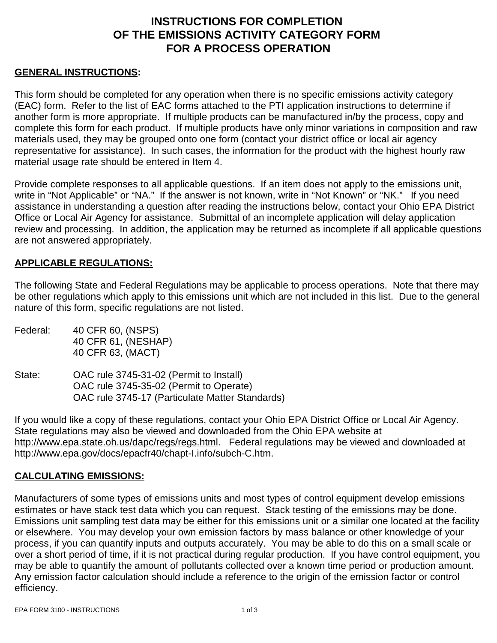# **INSTRUCTIONS FOR COMPLETION OF THE EMISSIONS ACTIVITY CATEGORY FORM FOR A PROCESS OPERATION**

#### **GENERAL INSTRUCTIONS:**

This form should be completed for any operation when there is no specific emissions activity category (EAC) form. Refer to the list of EAC forms attached to the PTI application instructions to determine if another form is more appropriate. If multiple products can be manufactured in/by the process, copy and complete this form for each product. If multiple products have only minor variations in composition and raw materials used, they may be grouped onto one form (contact your district office or local air agency representative for assistance). In such cases, the information for the product with the highest hourly raw material usage rate should be entered in Item 4.

Provide complete responses to all applicable questions. If an item does not apply to the emissions unit, write in "Not Applicable" or "NA." If the answer is not known, write in "Not Known" or "NK." If you need assistance in understanding a question after reading the instructions below, contact your Ohio EPA District Office or Local Air Agency for assistance. Submittal of an incomplete application will delay application review and processing. In addition, the application may be returned as incomplete if all applicable questions are not answered appropriately.

### **APPLICABLE REGULATIONS:**

The following State and Federal Regulations may be applicable to process operations. Note that there may be other regulations which apply to this emissions unit which are not included in this list.Due to the general nature of this form, specific regulations are not listed.

- Federal: 40 CFR 60, (NSPS) 40 CFR 61, (NESHAP) 40 CFR 63, (MACT)
- State: OAC rule 3745-31-02 (Permit to Install) OAC rule 3745-35-02 (Permit to Operate) OAC rule 3745-17 (Particulate Matter Standards)

If you would like a copy of these regulations, contact your Ohio EPA District Office or Local Air Agency. State regulations may also be viewed and downloaded from the Ohio EPA website at http://www.epa.state.oh.us/dapc/regs/regs.html. Federal regulations may be viewed and downloaded at http://www.epa.gov/docs/epacfr40/chapt-I.info/subch-C.htm.

#### **CALCULATING EMISSIONS:**

Manufacturers of some types of emissions units and most types of control equipment develop emissions estimates or have stack test data which you can request. Stack testing of the emissions may be done. Emissions unit sampling test data may be either for this emissions unit or a similar one located at the facility or elsewhere. You may develop your own emission factors by mass balance or other knowledge of your process, if you can quantify inputs and outputs accurately. You may be able to do this on a small scale or over a short period of time, if it is not practical during regular production. If you have control equipment, you may be able to quantify the amount of pollutants collected over a known time period or production amount. Any emission factor calculation should include a reference to the origin of the emission factor or control efficiency.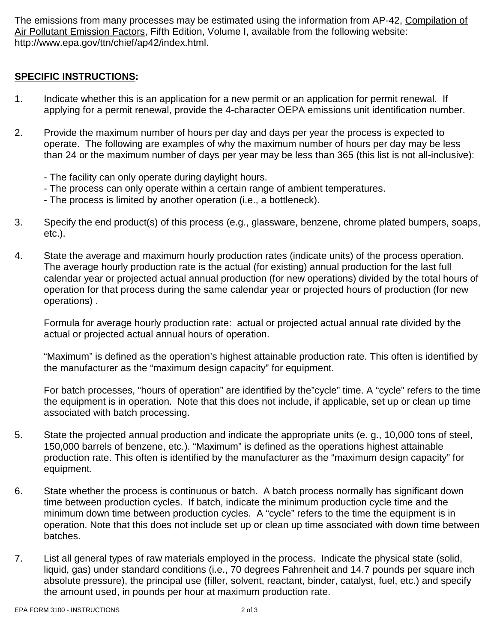The emissions from many processes may be estimated using the information from AP-42, Compilation of Air Pollutant Emission Factors, Fifth Edition, Volume I, available from the following website: http://www.epa.gov/ttn/chief/ap42/index.html.

## **SPECIFIC INSTRUCTIONS:**

- 1. Indicate whether this is an application for a new permit or an application for permit renewal. If applying for a permit renewal, provide the 4-character OEPA emissions unit identification number.
- 2. Provide the maximum number of hours per day and days per year the process is expected to operate. The following are examples of why the maximum number of hours per day may be less than 24 or the maximum number of days per year may be less than 365 (this list is not all-inclusive):
	- The facility can only operate during daylight hours.
	- The process can only operate within a certain range of ambient temperatures.
	- The process is limited by another operation (i.e., a bottleneck).
- 3. Specify the end product(s) of this process (e.g., glassware, benzene, chrome plated bumpers, soaps, etc.).
- 4. State the average and maximum hourly production rates (indicate units) of the process operation. The average hourly production rate is the actual (for existing) annual production for the last full calendar year or projected actual annual production (for new operations) divided by the total hours of operation for that process during the same calendar year or projected hours of production (for new operations) .

Formula for average hourly production rate: actual or projected actual annual rate divided by the actual or projected actual annual hours of operation.

"Maximum" is defined as the operation's highest attainable production rate. This often is identified by the manufacturer as the "maximum design capacity" for equipment.

For batch processes, "hours of operation" are identified by the"cycle" time. A "cycle" refers to the time the equipment is in operation. Note that this does not include, if applicable, set up or clean up time associated with batch processing.

- 5. State the projected annual production and indicate the appropriate units (e. g., 10,000 tons of steel, 150,000 barrels of benzene, etc.). "Maximum" is defined as the operations highest attainable production rate. This often is identified by the manufacturer as the "maximum design capacity" for equipment.
- 6. State whether the process is continuous or batch. A batch process normally has significant down time between production cycles. If batch, indicate the minimum production cycle time and the minimum down time between production cycles. A "cycle" refers to the time the equipment is in operation. Note that this does not include set up or clean up time associated with down time between batches.
- 7. List all general types of raw materials employed in the process. Indicate the physical state (solid, liquid, gas) under standard conditions (i.e., 70 degrees Fahrenheit and 14.7 pounds per square inch absolute pressure), the principal use (filler, solvent, reactant, binder, catalyst, fuel, etc.) and specify the amount used, in pounds per hour at maximum production rate.